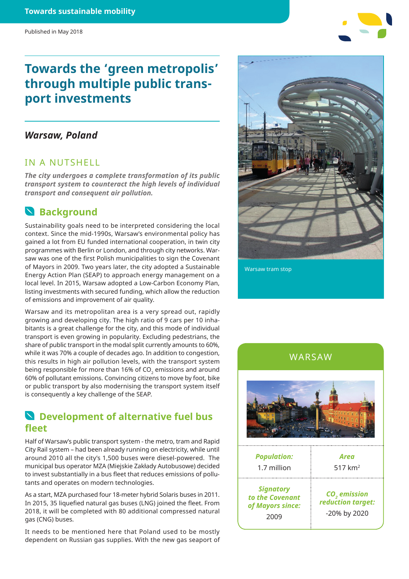# **Towards the 'green metropolis' through multiple public transport investments**

## *Warsaw, Poland*

## IN A NUTSHELL

*The city undergoes a complete transformation of its public transport system to counteract the high levels of individual transport and consequent air pollution.*

## **Background**

Sustainability goals need to be interpreted considering the local context. Since the mid-1990s, Warsaw's environmental policy has gained a lot from EU funded international cooperation, in twin city programmes with Berlin or London, and through city networks. Warsaw was one of the first Polish municipalities to sign the Covenant of Mayors in 2009. Two years later, the city adopted a Sustainable Energy Action Plan (SEAP) to approach energy management on a local level. In 2015, Warsaw adopted a Low-Carbon Economy Plan, listing investments with secured funding, which allow the reduction of emissions and improvement of air quality.

Warsaw and its metropolitan area is a very spread out, rapidly growing and developing city. The high ratio of 9 cars per 10 inhabitants is a great challenge for the city, and this mode of individual transport is even growing in popularity. Excluding pedestrians, the share of public transport in the modal split currently amounts to 60%, while it was 70% a couple of decades ago. In addition to congestion, this results in high air pollution levels, with the transport system being responsible for more than 16% of  $CO<sub>2</sub>$  emissions and around 60% of pollutant emissions. Convincing citizens to move by foot, bike or public transport by also modernising the transport system itself is consequently a key challenge of the SEAP.

## **Development of alternative fuel bus fleet**

Half of Warsaw's public transport system - the metro, tram and Rapid City Rail system – had been already running on electricity, while until around 2010 all the city's 1,500 buses were diesel-powered. The municipal bus operator MZA (Miejskie Zakłady Autobusowe) decided to invest substantially in a bus fleet that reduces emissions of pollutants and operates on modern technologies.

As a start, MZA purchased four 18-meter hybrid Solaris buses in 2011. In 2015, 35 liquefied natural gas buses (LNG) joined the fleet. From 2018, it will be completed with 80 additional compressed natural gas (CNG) buses.

It needs to be mentioned here that Poland used to be mostly dependent on Russian gas supplies. With the new gas seaport of



Warsaw tram stop





| <b>Population:</b><br>1.7 million                               | Area<br>517 km <sup>2</sup>                                   |
|-----------------------------------------------------------------|---------------------------------------------------------------|
| <b>Signatory</b><br>to the Covenant<br>of Mayors since:<br>2009 | CO <sub>2</sub> emission<br>reduction target:<br>-20% by 2020 |
|                                                                 |                                                               |